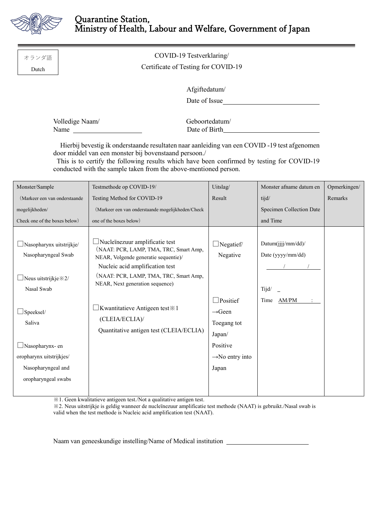

□Nasopharynx- en oropharynx uitstrijkjes/ Nasopharyngeal and oropharyngeal swabs

| オランダ語<br>Dutch                                                                                                                                                                                                                                                                                                         | COVID-19 Testverklaring/<br>Certificate of Testing for COVID-19 |                                                                                                                                                            |                                                                |                                         |             |  |
|------------------------------------------------------------------------------------------------------------------------------------------------------------------------------------------------------------------------------------------------------------------------------------------------------------------------|-----------------------------------------------------------------|------------------------------------------------------------------------------------------------------------------------------------------------------------|----------------------------------------------------------------|-----------------------------------------|-------------|--|
| Afgiftedatum/<br>Date of Issue                                                                                                                                                                                                                                                                                         |                                                                 |                                                                                                                                                            |                                                                |                                         |             |  |
| Volledige Naam/<br>Name $\frac{1}{\sqrt{1-\frac{1}{2}}\sqrt{1-\frac{1}{2}}\left(1-\frac{1}{2}\right)}$                                                                                                                                                                                                                 |                                                                 |                                                                                                                                                            | Geboortedatum/                                                 |                                         |             |  |
| Hierbij bevestig ik onderstaande resultaten naar aanleiding van een COVID-19 test afgenomen<br>door middel van een monster bij bovenstaand persoon./<br>This is to certify the following results which have been confirmed by testing for COVID-19<br>conducted with the sample taken from the above-mentioned person. |                                                                 |                                                                                                                                                            |                                                                |                                         |             |  |
| Monster/Sample                                                                                                                                                                                                                                                                                                         |                                                                 | Testmethode op COVID-19/                                                                                                                                   | Uitslag/                                                       | Monster afname datum en                 | Opmerkingen |  |
| (Markeer een van onderstaande                                                                                                                                                                                                                                                                                          |                                                                 | Testing Method for COVID-19                                                                                                                                | Result                                                         | tijd/                                   | Remarks     |  |
| mogelijkheden/                                                                                                                                                                                                                                                                                                         |                                                                 | (Markeer een van onderstaande mogelijkheden/Check                                                                                                          |                                                                | Specimen Collection Date                |             |  |
| Check one of the boxes below)                                                                                                                                                                                                                                                                                          |                                                                 | one of the boxes below)                                                                                                                                    |                                                                | and Time                                |             |  |
| $\Box$ Nasopharynx uitstrijkje/<br>Nasopharyngeal Swab                                                                                                                                                                                                                                                                 |                                                                 | $\Box$ Nucleïnezuur amplificatie test<br>(NAAT: PCR, LAMP, TMA, TRC, Smart Amp,<br>NEAR, Volgende generatie sequentie)/<br>Nucleic acid amplification test | $\Box$ Negatief/<br>Negative                                   | Datum(jjjj/mm/dd)/<br>Date (yyyy/mm/dd) |             |  |
| $\Box$ Neus uitstrijkje $\divideontimes$ 2/<br>Nasal Swab                                                                                                                                                                                                                                                              |                                                                 | (NAAT: PCR, LAMP, TMA, TRC, Smart Amp,<br>NEAR, Next generation sequence)                                                                                  |                                                                | Tijd/                                   |             |  |
| Speeksel/<br>Saliva                                                                                                                                                                                                                                                                                                    |                                                                 | $\Box$ Kwantitatieve Antigeen test $\divideontimes$ 1<br>(CLEIA/ECLIA)/<br>Quantitative antigen test (CLEIA/ECLIA)                                         | $\Box$ Positief<br>$\rightarrow$ Geen<br>Toegang tot<br>Japan/ | Time AM/PM                              |             |  |

※1. Geen kwalitatieve antigeen test./Not a qualitative antigen test.

※2. Neus uitstrijkje is geldig wanneer de nucleïnezuur amplificatie test methode (NAAT) is gebruikt./Nasal swab is valid when the test methode is Nucleic acid amplification test (NAAT).

Positive

Japan

 $\rightarrow$ No entry into

Naam van geneeskundige instelling/Name of Medical institution